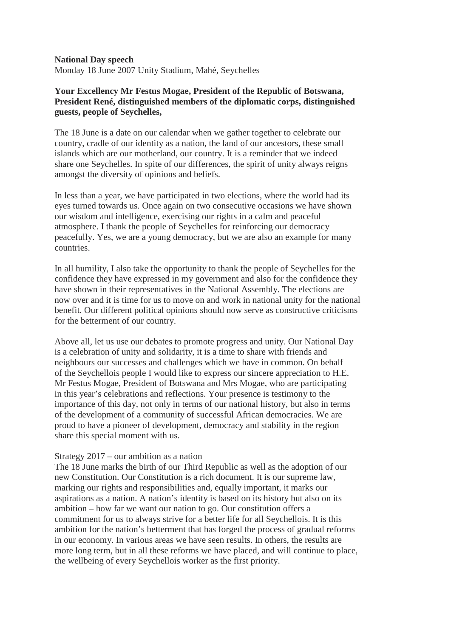**National Day speech** Monday 18 June 2007 Unity Stadium, Mahé, Seychelles

## **Your Excellency Mr Festus Mogae, President of the Republic of Botswana, President René, distinguished members of the diplomatic corps, distinguished guests, people of Seychelles,**

The 18 June is a date on our calendar when we gather together to celebrate our country, cradle of our identity as a nation, the land of our ancestors, these small islands which are our motherland, our country. It is a reminder that we indeed share one Seychelles. In spite of our differences, the spirit of unity always reigns amongst the diversity of opinions and beliefs.

In less than a year, we have participated in two elections, where the world had its eyes turned towards us. Once again on two consecutive occasions we have shown our wisdom and intelligence, exercising our rights in a calm and peaceful atmosphere. I thank the people of Seychelles for reinforcing our democracy peacefully. Yes, we are a young democracy, but we are also an example for many countries.

In all humility, I also take the opportunity to thank the people of Seychelles for the confidence they have expressed in my government and also for the confidence they have shown in their representatives in the National Assembly. The elections are now over and it is time for us to move on and work in national unity for the national benefit. Our different political opinions should now serve as constructive criticisms for the betterment of our country.

Above all, let us use our debates to promote progress and unity. Our National Day is a celebration of unity and solidarity, it is a time to share with friends and neighbours our successes and challenges which we have in common. On behalf of the Seychellois people I would like to express our sincere appreciation to H.E. Mr Festus Mogae, President of Botswana and Mrs Mogae, who are participating in this year's celebrations and reflections. Your presence is testimony to the importance of this day, not only in terms of our national history, but also in terms of the development of a community of successful African democracies. We are proud to have a pioneer of development, democracy and stability in the region share this special moment with us.

## Strategy 2017 – our ambition as a nation

The 18 June marks the birth of our Third Republic as well as the adoption of our new Constitution. Our Constitution is a rich document. It is our supreme law, marking our rights and responsibilities and, equally important, it marks our aspirations as a nation. A nation's identity is based on its history but also on its ambition – how far we want our nation to go. Our constitution offers a commitment for us to always strive for a better life for all Seychellois. It is this ambition for the nation's betterment that has forged the process of gradual reforms in our economy. In various areas we have seen results. In others, the results are more long term, but in all these reforms we have placed, and will continue to place, the wellbeing of every Seychellois worker as the first priority.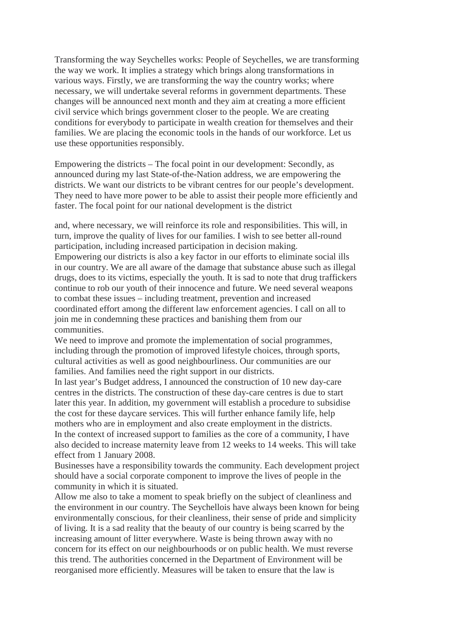Transforming the way Seychelles works: People of Seychelles, we are transforming the way we work. It implies a strategy which brings along transformations in various ways. Firstly, we are transforming the way the country works; where necessary, we will undertake several reforms in government departments. These changes will be announced next month and they aim at creating a more efficient civil service which brings government closer to the people. We are creating conditions for everybody to participate in wealth creation for themselves and their families. We are placing the economic tools in the hands of our workforce. Let us use these opportunities responsibly.

Empowering the districts – The focal point in our development: Secondly, as announced during my last State-of-the-Nation address, we are empowering the districts. We want our districts to be vibrant centres for our people's development. They need to have more power to be able to assist their people more efficiently and faster. The focal point for our national development is the district

and, where necessary, we will reinforce its role and responsibilities. This will, in turn, improve the quality of lives for our families. I wish to see better all-round participation, including increased participation in decision making. Empowering our districts is also a key factor in our efforts to eliminate social ills in our country. We are all aware of the damage that substance abuse such as illegal drugs, does to its victims, especially the youth. It is sad to note that drug traffickers continue to rob our youth of their innocence and future. We need several weapons to combat these issues – including treatment, prevention and increased coordinated effort among the different law enforcement agencies. I call on all to join me in condemning these practices and banishing them from our communities.

We need to improve and promote the implementation of social programmes, including through the promotion of improved lifestyle choices, through sports, cultural activities as well as good neighbourliness. Our communities are our families. And families need the right support in our districts.

In last year's Budget address, I announced the construction of 10 new day-care centres in the districts. The construction of these day-care centres is due to start later this year. In addition, my government will establish a procedure to subsidise the cost for these daycare services. This will further enhance family life, help mothers who are in employment and also create employment in the districts. In the context of increased support to families as the core of a community, I have also decided to increase maternity leave from 12 weeks to 14 weeks. This will take effect from 1 January 2008.

Businesses have a responsibility towards the community. Each development project should have a social corporate component to improve the lives of people in the community in which it is situated.

Allow me also to take a moment to speak briefly on the subject of cleanliness and the environment in our country. The Seychellois have always been known for being environmentally conscious, for their cleanliness, their sense of pride and simplicity of living. It is a sad reality that the beauty of our country is being scarred by the increasing amount of litter everywhere. Waste is being thrown away with no concern for its effect on our neighbourhoods or on public health. We must reverse this trend. The authorities concerned in the Department of Environment will be reorganised more efficiently. Measures will be taken to ensure that the law is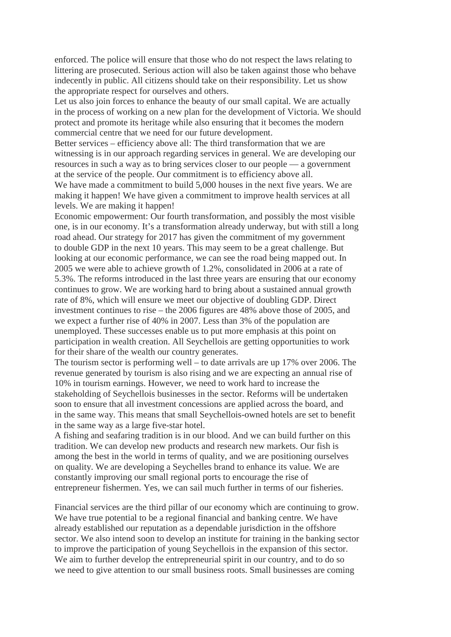enforced. The police will ensure that those who do not respect the laws relating to littering are prosecuted. Serious action will also be taken against those who behave indecently in public. All citizens should take on their responsibility. Let us show the appropriate respect for ourselves and others.

Let us also join forces to enhance the beauty of our small capital. We are actually in the process of working on a new plan for the development of Victoria. We should protect and promote its heritage while also ensuring that it becomes the modern commercial centre that we need for our future development.

Better services – efficiency above all: The third transformation that we are witnessing is in our approach regarding services in general. We are developing our resources in such a way as to bring services closer to our people — a government at the service of the people. Our commitment is to efficiency above all.

We have made a commitment to build 5,000 houses in the next five years. We are making it happen! We have given a commitment to improve health services at all levels. We are making it happen!

Economic empowerment: Our fourth transformation, and possibly the most visible one, is in our economy. It's a transformation already underway, but with still a long road ahead. Our strategy for 2017 has given the commitment of my government to double GDP in the next 10 years. This may seem to be a great challenge. But looking at our economic performance, we can see the road being mapped out. In 2005 we were able to achieve growth of 1.2%, consolidated in 2006 at a rate of 5.3%. The reforms introduced in the last three years are ensuring that our economy continues to grow. We are working hard to bring about a sustained annual growth rate of 8%, which will ensure we meet our objective of doubling GDP. Direct investment continues to rise – the 2006 figures are 48% above those of 2005, and we expect a further rise of 40% in 2007. Less than 3% of the population are unemployed. These successes enable us to put more emphasis at this point on participation in wealth creation. All Seychellois are getting opportunities to work for their share of the wealth our country generates.

The tourism sector is performing well – to date arrivals are up 17% over 2006. The revenue generated by tourism is also rising and we are expecting an annual rise of 10% in tourism earnings. However, we need to work hard to increase the stakeholding of Seychellois businesses in the sector. Reforms will be undertaken soon to ensure that all investment concessions are applied across the board, and in the same way. This means that small Seychellois-owned hotels are set to benefit in the same way as a large five-star hotel.

A fishing and seafaring tradition is in our blood. And we can build further on this tradition. We can develop new products and research new markets. Our fish is among the best in the world in terms of quality, and we are positioning ourselves on quality. We are developing a Seychelles brand to enhance its value. We are constantly improving our small regional ports to encourage the rise of entrepreneur fishermen. Yes, we can sail much further in terms of our fisheries.

Financial services are the third pillar of our economy which are continuing to grow. We have true potential to be a regional financial and banking centre. We have already established our reputation as a dependable jurisdiction in the offshore sector. We also intend soon to develop an institute for training in the banking sector to improve the participation of young Seychellois in the expansion of this sector. We aim to further develop the entrepreneurial spirit in our country, and to do so we need to give attention to our small business roots. Small businesses are coming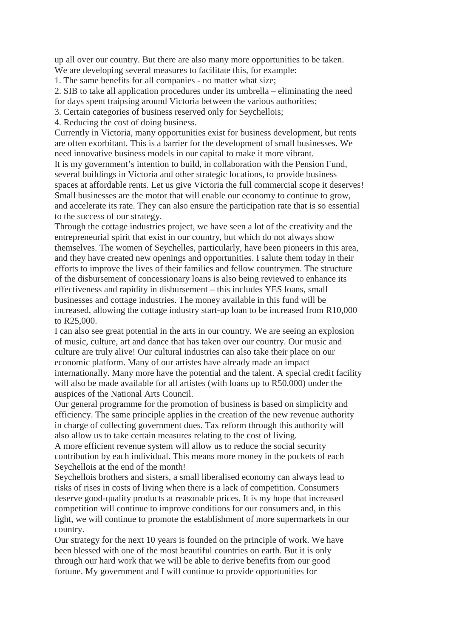up all over our country. But there are also many more opportunities to be taken. We are developing several measures to facilitate this, for example:

1. The same benefits for all companies - no matter what size;

2. SIB to take all application procedures under its umbrella – eliminating the need for days spent traipsing around Victoria between the various authorities;

3. Certain categories of business reserved only for Seychellois;

4. Reducing the cost of doing business.

Currently in Victoria, many opportunities exist for business development, but rents are often exorbitant. This is a barrier for the development of small businesses. We need innovative business models in our capital to make it more vibrant.

It is my government's intention to build, in collaboration with the Pension Fund, several buildings in Victoria and other strategic locations, to provide business spaces at affordable rents. Let us give Victoria the full commercial scope it deserves! Small businesses are the motor that will enable our economy to continue to grow, and accelerate its rate. They can also ensure the participation rate that is so essential to the success of our strategy.

Through the cottage industries project, we have seen a lot of the creativity and the entrepreneurial spirit that exist in our country, but which do not always show themselves. The women of Seychelles, particularly, have been pioneers in this area, and they have created new openings and opportunities. I salute them today in their efforts to improve the lives of their families and fellow countrymen. The structure of the disbursement of concessionary loans is also being reviewed to enhance its effectiveness and rapidity in disbursement – this includes YES loans, small businesses and cottage industries. The money available in this fund will be increased, allowing the cottage industry start-up loan to be increased from R10,000 to R25,000.

I can also see great potential in the arts in our country. We are seeing an explosion of music, culture, art and dance that has taken over our country. Our music and culture are truly alive! Our cultural industries can also take their place on our economic platform. Many of our artistes have already made an impact internationally. Many more have the potential and the talent. A special credit facility will also be made available for all artistes (with loans up to R50,000) under the auspices of the National Arts Council.

Our general programme for the promotion of business is based on simplicity and efficiency. The same principle applies in the creation of the new revenue authority in charge of collecting government dues. Tax reform through this authority will also allow us to take certain measures relating to the cost of living.

A more efficient revenue system will allow us to reduce the social security contribution by each individual. This means more money in the pockets of each Seychellois at the end of the month!

Seychellois brothers and sisters, a small liberalised economy can always lead to risks of rises in costs of living when there is a lack of competition. Consumers deserve good-quality products at reasonable prices. It is my hope that increased competition will continue to improve conditions for our consumers and, in this light, we will continue to promote the establishment of more supermarkets in our country.

Our strategy for the next 10 years is founded on the principle of work. We have been blessed with one of the most beautiful countries on earth. But it is only through our hard work that we will be able to derive benefits from our good fortune. My government and I will continue to provide opportunities for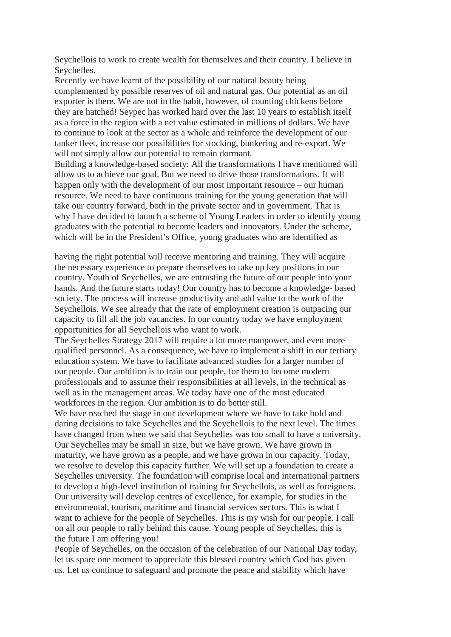Seychellois to work to create wealth for themselves and their country. I believe in Seychelles.

Recently we have learnt of the possibility of our natural beauty being complemented by possible reserves of oil and natural gas. Our potential as an oil exporter is there. We are not in the habit, however, of counting chickens before they are hatched! Seypec has worked hard over the last 10 years to establish itself as a force in the region with a net value estimated in millions of dollars. We have to continue to look at the sector as a whole and reinforce the development of our tanker fleet, increase our possibilities for stocking, bunkering and re-export. We will not simply allow our potential to remain dormant.

Building a knowledge-based society: All the transformations I have mentioned will allow us to achieve our goal. But we need to drive those transformations. It will happen only with the development of our most important resource – our human resource. We need to have continuous training for the young generation that will take our country forward, both in the private sector and in government. That is why I have decided to launch a scheme of Young Leaders in order to identify young graduates with the potential to become leaders and innovators. Under the scheme, which will be in the President's Office, young graduates who are identified as

having the right potential will receive mentoring and training. They will acquire the necessary experience to prepare themselves to take up key positions in our country. Youth of Seychelles, we are entrusting the future of our people into your hands. And the future starts today! Our country has to become a knowledge- based society. The process will increase productivity and add value to the work of the Seychellois. We see already that the rate of employment creation is outpacing our capacity to fill all the job vacancies. In our country today we have employment opportunities for all Seychellois who want to work.

The Seychelles Strategy 2017 will require a lot more manpower, and even more qualified personnel. As a consequence, we have to implement a shift in our tertiary education system. We have to facilitate advanced studies for a larger number of our people. Our ambition is to train our people, for them to become modern professionals and to assume their responsibilities at all levels, in the technical as well as in the management areas. We today have one of the most educated workforces in the region. Our ambition is to do better still.

We have reached the stage in our development where we have to take bold and daring decisions to take Seychelles and the Seychellois to the next level. The times have changed from when we said that Seychelles was too small to have a university. Our Seychelles may be small in size, but we have grown. We have grown in maturity, we have grown as a people, and we have grown in our capacity. Today, we resolve to develop this capacity further. We will set up a foundation to create a Seychelles university. The foundation will comprise local and international partners to develop a high-level institution of training for Seychellois, as well as foreigners. Our university will develop centres of excellence, for example, for studies in the environmental, tourism, maritime and financial services sectors. This is what I want to achieve for the people of Seychelles. This is my wish for our people. I call on all our people to rally behind this cause. Young people of Seychelles, this is the future I am offering you!

People of Seychelles, on the occasion of the celebration of our National Day today, let us spare one moment to appreciate this blessed country which God has given us. Let us continue to safeguard and promote the peace and stability which have